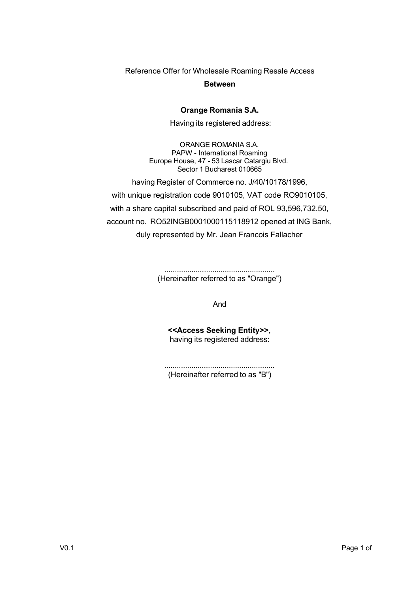Reference Offer for Wholesale Roaming Resale Access

#### **Between**

#### **Orange Romania S.A.**

Having its registered address:

ORANGE ROMANIA S.A. PAPW - International Roaming Europe House, 47 - 53 Lascar Catargiu Blvd. Sector 1 Bucharest 010665

having Register of Commerce no. J/40/10178/1996,

with unique registration code 9010105, VAT code RO9010105, with a share capital subscribed and paid of ROL 93,596,732.50, account no. RO52INGB0001000115118912 opened at ING Bank, duly represented by Mr. Jean Francois Fallacher

> ..................................................... (Hereinafter referred to as "Orange")

> > And

**<<Access Seeking Entity>>**, having its registered address:

..................................................... (Hereinafter referred to as "B")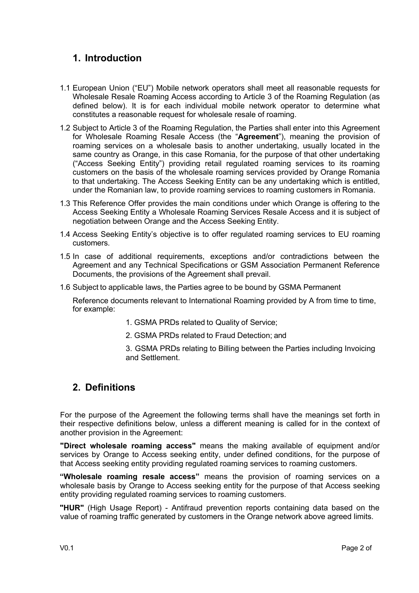# **1. Introduction**

- 1.1 European Union ("EU") Mobile network operators shall meet all reasonable requests for Wholesale Resale Roaming Access according to Article 3 of the Roaming Regulation (as defined below). It is for each individual mobile network operator to determine what constitutes a reasonable request for wholesale resale of roaming.
- 1.2 Subject to Article 3 of the Roaming Regulation, the Parties shall enter into this Agreement for Wholesale Roaming Resale Access (the "**Agreement**"), meaning the provision of roaming services on a wholesale basis to another undertaking, usually located in the same country as Orange, in this case Romania, for the purpose of that other undertaking ("Access Seeking Entity") providing retail regulated roaming services to its roaming customers on the basis of the wholesale roaming services provided by Orange Romania to that undertaking. The Access Seeking Entity can be any undertaking which is entitled, under the Romanian law, to provide roaming services to roaming customers in Romania.
- 1.3 This Reference Offer provides the main conditions under which Orange is offering to the Access Seeking Entity a Wholesale Roaming Services Resale Access and it is subject of negotiation between Orange and the Access Seeking Entity.
- 1.4 Access Seeking Entity's objective is to offer regulated roaming services to EU roaming customers.
- 1.5 In case of additional requirements, exceptions and/or contradictions between the Agreement and any Technical Specifications or GSM Association Permanent Reference Documents, the provisions of the Agreement shall prevail.
- 1.6 Subject to applicable laws, the Parties agree to be bound by GSMA Permanent

Reference documents relevant to International Roaming provided by A from time to time, for example:

- 1. GSMA PRDs related to Quality of Service;
- 2. GSMA PRDs related to Fraud Detection; and
- 3. GSMA PRDs relating to Billing between the Parties including Invoicing and Settlement.

### **2. Definitions**

For the purpose of the Agreement the following terms shall have the meanings set forth in their respective definitions below, unless a different meaning is called for in the context of another provision in the Agreement:

**"Direct wholesale roaming access"** means the making available of equipment and/or services by Orange to Access seeking entity, under defined conditions, for the purpose of that Access seeking entity providing regulated roaming services to roaming customers.

**"Wholesale roaming resale access"** means the provision of roaming services on a wholesale basis by Orange to Access seeking entity for the purpose of that Access seeking entity providing regulated roaming services to roaming customers.

**"HUR"** (High Usage Report) - Antifraud prevention reports containing data based on the value of roaming traffic generated by customers in the Orange network above agreed limits.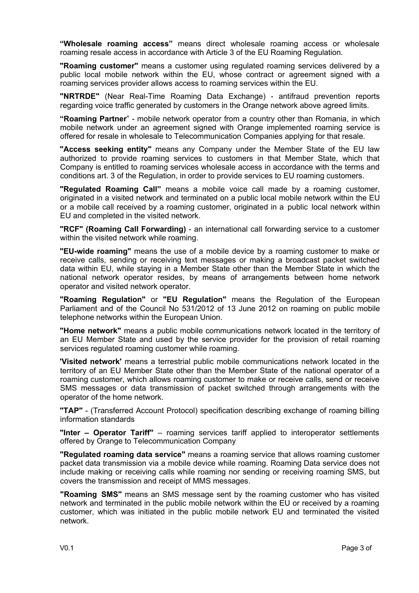**"Wholesale roaming access"** means direct wholesale roaming access or wholesale roaming resale access in accordance with Article 3 of the EU Roaming Regulation.

**"Roaming customer"** means a customer using regulated roaming services delivered by a public local mobile network within the EU, whose contract or agreement signed with a roaming services provider allows access to roaming services within the EU.

**"NRTRDE"** (Near Real-Time Roaming Data Exchange) - antifraud prevention reports regarding voice traffic generated by customers in the Orange network above agreed limits.

**"Roaming Partner**" - mobile network operator from a country other than Romania, in which mobile network under an agreement signed with Orange implemented roaming service is offered for resale in wholesale to Telecommunication Companies applying for that resale.

**"Access seeking entity"** means any Company under the Member State of the EU law authorized to provide roaming services to customers in that Member State, which that Company is entitled to roaming services wholesale access in accordance with the terms and conditions art. 3 of the Regulation, in order to provide services to EU roaming customers.

**"Regulated Roaming Call"** means a mobile voice call made by a roaming customer, originated in a visited network and terminated on a public local mobile network within the EU or a mobile call received by a roaming customer, originated in a public local network within EU and completed in the visited network.

**"RCF" (Roaming Call Forwarding)** - an international call forwarding service to a customer within the visited network while roaming.

**"EU-wide roaming"** means the use of a mobile device by a roaming customer to make or receive calls, sending or receiving text messages or making a broadcast packet switched data within EU, while staying in a Member State other than the Member State in which the national network operator resides, by means of arrangements between home network operator and visited network operator.

**"Roaming Regulation"** or **"EU Regulation"** means the Regulation of the European Parliament and of the Council No 531/2012 of 13 June 2012 on roaming on public mobile telephone networks within the European Union.

**"Home network"** means a public mobile communications network located in the territory of an EU Member State and used by the service provider for the provision of retail roaming services regulated roaming customer while roaming.

**'Visited network'** means a terrestrial public mobile communications network located in the territory of an EU Member State other than the Member State of the national operator of a roaming customer, which allows roaming customer to make or receive calls, send or receive SMS messages or data transmission of packet switched through arrangements with the operator of the home network.

**"TAP"** - (Transferred Account Protocol) specification describing exchange of roaming billing information standards

**"Inter – Operator Tariff"** – roaming services tariff applied to interoperator settlements offered by Orange to Telecommunication Company

**"Regulated roaming data service"** means a roaming service that allows roaming customer packet data transmission via a mobile device while roaming. Roaming Data service does not include making or receiving calls while roaming nor sending or receiving roaming SMS, but covers the transmission and receipt of MMS messages.

**"Roaming SMS"** means an SMS message sent by the roaming customer who has visited network and terminated in the public mobile network within the EU or received by a roaming customer, which was initiated in the public mobile network EU and terminated the visited network.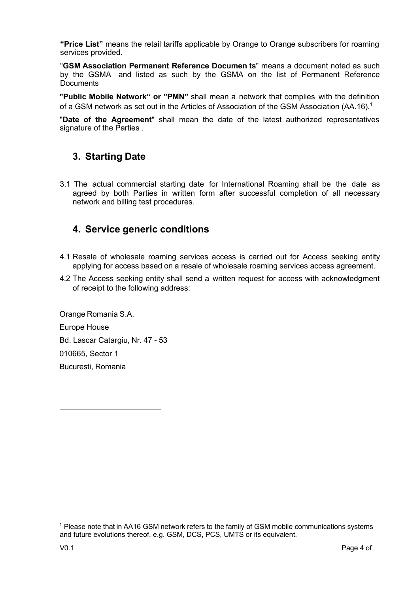**"Price List"** means the retail tariffs applicable by Orange to Orange subscribers for roaming services provided.

"**GSM Association Permanent Reference Documen ts**" means a document noted as such by the GSMA and listed as such by the GSMA on the list of Permanent Reference **Documents** 

**"Public Mobile Network" or "PMN"** shall mean a network that complies with the definition of a GSM network as set out in the Articles of Association of the GSM Association  $(AA.16).<sup>1</sup>$ 

"**Date of the Agreement**" shall mean the date of the latest authorized representatives signature of the Parties .

# **3. Starting Date**

3.1 The actual commercial starting date for International Roaming shall be the date as agreed by both Parties in written form after successful completion of all necessary network and billing test procedures.

### **4. Service generic conditions**

- 4.1 Resale of wholesale roaming services access is carried out for Access seeking entity applying for access based on a resale of wholesale roaming services access agreement.
- 4.2 The Access seeking entity shall send a written request for access with acknowledgment of receipt to the following address:

Orange Romania S.A. Europe House Bd. Lascar Catargiu, Nr. 47 - 53 010665, Sector 1 Bucuresti, Romania

<sup>1</sup> Please note that in AA16 GSM network refers to the family of GSM mobile communications systems and future evolutions thereof, e.g. GSM, DCS, PCS, UMTS or its equivalent.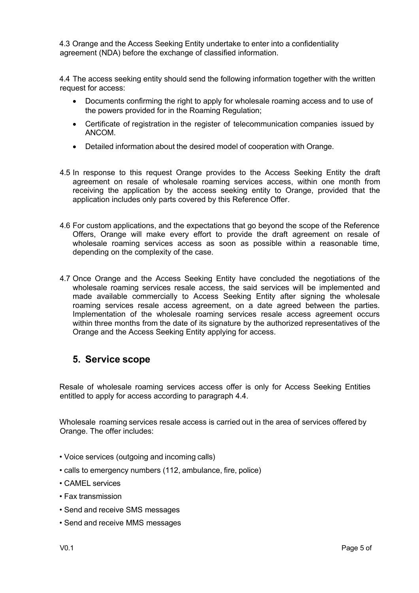4.3 Orange and the Access Seeking Entity undertake to enter into a confidentiality agreement (NDA) before the exchange of classified information.

4.4 The access seeking entity should send the following information together with the written request for access:

- Documents confirming the right to apply for wholesale roaming access and to use of the powers provided for in the Roaming Regulation;
- Certificate of registration in the register of telecommunication companies issued by ANCOM.
- Detailed information about the desired model of cooperation with Orange.
- 4.5 In response to this request Orange provides to the Access Seeking Entity the draft agreement on resale of wholesale roaming services access, within one month from receiving the application by the access seeking entity to Orange, provided that the application includes only parts covered by this Reference Offer.
- 4.6 For custom applications, and the expectations that go beyond the scope of the Reference Offers, Orange will make every effort to provide the draft agreement on resale of wholesale roaming services access as soon as possible within a reasonable time, depending on the complexity of the case.
- 4.7 Once Orange and the Access Seeking Entity have concluded the negotiations of the wholesale roaming services resale access, the said services will be implemented and made available commercially to Access Seeking Entity after signing the wholesale roaming services resale access agreement, on a date agreed between the parties. Implementation of the wholesale roaming services resale access agreement occurs within three months from the date of its signature by the authorized representatives of the Orange and the Access Seeking Entity applying for access.

#### **5. Service scope**

Resale of wholesale roaming services access offer is only for Access Seeking Entities entitled to apply for access according to paragraph 4.4.

Wholesale roaming services resale access is carried out in the area of services offered by Orange. The offer includes:

- Voice services (outgoing and incoming calls)
- calls to emergency numbers (112, ambulance, fire, police)
- CAMEL services
- Fax transmission
- Send and receive SMS messages
- Send and receive MMS messages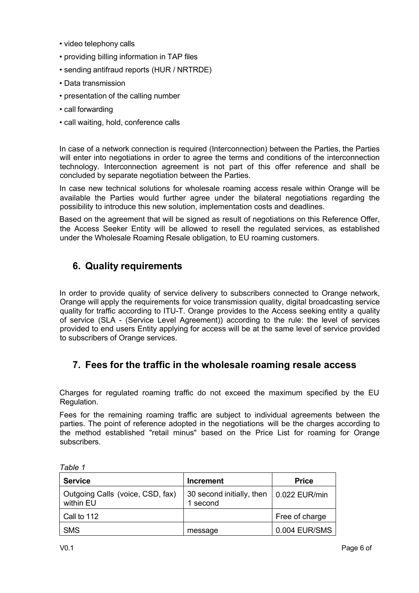- video telephony calls
- providing billing information in TAP files
- sending antifraud reports (HUR / NRTRDE)
- Data transmission
- presentation of the calling number
- call forwarding
- call waiting, hold, conference calls

In case of a network connection is required (Interconnection) between the Parties, the Parties will enter into negotiations in order to agree the terms and conditions of the interconnection technology. Interconnection agreement is not part of this offer reference and shall be concluded by separate negotiation between the Parties.

In case new technical solutions for wholesale roaming access resale within Orange will be available the Parties would further agree under the bilateral negotiations regarding the possibility to introduce this new solution, implementation costs and deadlines.

Based on the agreement that will be signed as result of negotiations on this Reference Offer, the Access Seeker Entity will be allowed to resell the regulated services, as established under the Wholesale Roaming Resale obligation, to EU roaming customers.

# **6. Quality requirements**

In order to provide quality of service delivery to subscribers connected to Orange network, Orange will apply the requirements for voice transmission quality, digital broadcasting service quality for traffic according to ITU-T. Orange provides to the Access seeking entity a quality of service (SLA - (Service Level Agreement)) according to the rule: the level of services provided to end users Entity applying for access will be at the same level of service provided to subscribers of Orange services.

# **7. Fees for the traffic in the wholesale roaming resale access**

Charges for regulated roaming traffic do not exceed the maximum specified by the EU Regulation.

Fees for the remaining roaming traffic are subject to individual agreements between the parties. The point of reference adopted in the negotiations will be the charges according to the method established "retail minus" based on the Price List for roaming for Orange subscribers.

| <b>Service</b>                                | <b>Increment</b>                      | <b>Price</b>          |
|-----------------------------------------------|---------------------------------------|-----------------------|
| Outgoing Calls (voice, CSD, fax)<br>within EU | 30 second initially, then<br>1 second | $\vert$ 0.022 EUR/min |
| Call to 112                                   |                                       | Free of charge        |
| <b>SMS</b>                                    | message                               | 0.004 EUR/SMS         |

*Table 1*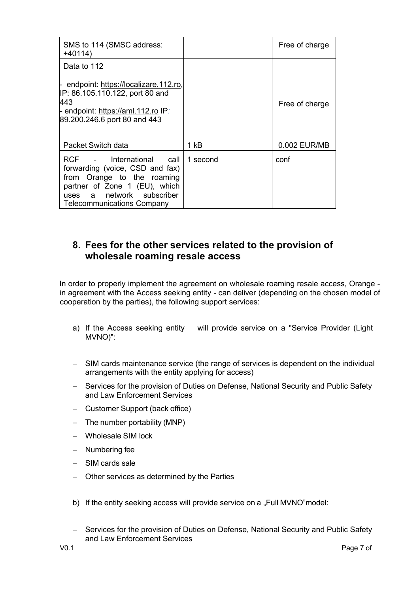| SMS to 114 (SMSC address:<br>$+40114)$                                                                                                                                                          |          | Free of charge |
|-------------------------------------------------------------------------------------------------------------------------------------------------------------------------------------------------|----------|----------------|
| Data to 112                                                                                                                                                                                     |          |                |
| endpoint: https://localizare.112.ro,<br>IP: 86.105.110.122, port 80 and<br>443<br>- endpoint: https://aml.112.ro IP;<br>89.200.246.6 port 80 and 443                                            |          | Free of charge |
| Packet Switch data                                                                                                                                                                              | 1 kB     | 0.002 EUR/MB   |
| RCF - International call<br>forwarding (voice, CSD and fax)<br>from Orange to the roaming<br>partner of Zone 1 (EU), which<br>network subscriber<br>uses a<br><b>Telecommunications Company</b> | 1 second | conf           |

### **8. Fees for the other services related to the provision of wholesale roaming resale access**

In order to properly implement the agreement on wholesale roaming resale access, Orange in agreement with the Access seeking entity - can deliver (depending on the chosen model of cooperation by the parties), the following support services:

- a) If the Access seeking entity will provide service on a "Service Provider (Light MVNO)":
- SIM cards maintenance service (the range of services is dependent on the individual arrangements with the entity applying for access)
- Services for the provision of Duties on Defense, National Security and Public Safety and Law Enforcement Services
- Customer Support (back office)
- The number portability (MNP)
- Wholesale SIM lock
- Numbering fee
- SIM cards sale
- Other services as determined by the Parties
- b) If the entity seeking access will provide service on a "Full MVNO" model:
- Services for the provision of Duties on Defense, National Security and Public Safety and Law Enforcement Services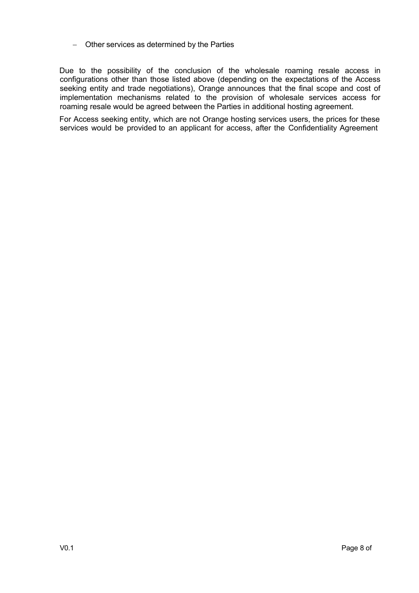#### - Other services as determined by the Parties

Due to the possibility of the conclusion of the wholesale roaming resale access in configurations other than those listed above (depending on the expectations of the Access seeking entity and trade negotiations), Orange announces that the final scope and cost of implementation mechanisms related to the provision of wholesale services access for roaming resale would be agreed between the Parties in additional hosting agreement.

For Access seeking entity, which are not Orange hosting services users, the prices for these services would be provided to an applicant for access, after the Confidentiality Agreement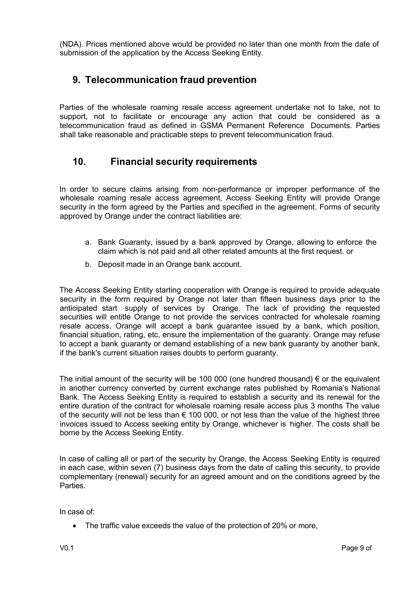(NDA). Prices mentioned above would be provided no later than one month from the date of submission of the application by the Access Seeking Entity.

# **9. Telecommunication fraud prevention**

Parties of the wholesale roaming resale access agreement undertake not to take, not to support, not to facilitate or encourage any action that could be considered as a telecommunication fraud as defined in GSMA Permanent Reference Documents. Parties shall take reasonable and practicable steps to prevent telecommunication fraud.

### **10. Financial security requirements**

In order to secure claims arising from non-performance or improper performance of the wholesale roaming resale access agreement, Access Seeking Entity will provide Orange security in the form agreed by the Parties and specified in the agreement. Forms of security approved by Orange under the contract liabilities are:

- a. Bank Guaranty, issued by a bank approved by Orange, allowing to enforce the claim which is not paid and all other related amounts at the first request. or
- b. Deposit made in an Orange bank account.

The Access Seeking Entity starting cooperation with Orange is required to provide adequate security in the form required by Orange not later than fifteen business days prior to the anticipated start supply of services by Orange. The lack of providing the requested securities will entitle Orange to not provide the services contracted for wholesale roaming resale access. Orange will accept a bank guarantee issued by a bank, which position, financial situation, rating, etc, ensure the implementation of the guaranty. Orange may refuse to accept a bank guaranty or demand establishing of a new bank guaranty by another bank, if the bank's current situation raises doubts to perform guaranty.

The initial amount of the security will be 100 000 (one hundred thousand)  $\epsilon$  or the equivalent in another currency converted by current exchange rates published by Romania's National Bank. The Access Seeking Entity is required to establish a security and its renewal for the entire duration of the contract for wholesale roaming resale access plus 3 months The value of the security will not be less than  $\epsilon$  100 000, or not less than the value of the highest three invoices issued to Access seeking entity by Orange, whichever is higher. The costs shall be borne by the Access Seeking Entity.

In case of calling all or part of the security by Orange, the Access Seeking Entity is required in each case, within seven (7) business days from the date of calling this security, to provide complementary (renewal) security for an agreed amount and on the conditions agreed by the Parties.

In case of:

• The traffic value exceeds the value of the protection of 20% or more,